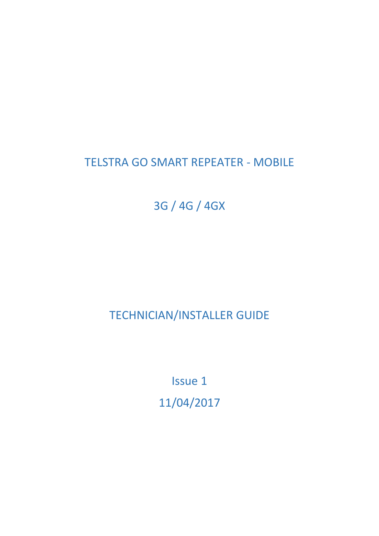# TELSTRA GO SMART REPEATER - MOBILE

3G / 4G / 4GX

TECHNICIAN/INSTALLER GUIDE

Issue 1 11/04/2017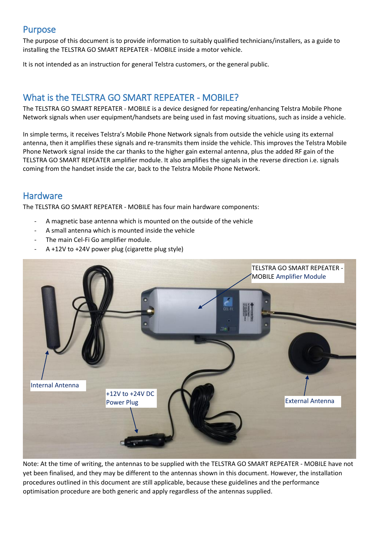### Purpose

The purpose of this document is to provide information to suitably qualified technicians/installers, as a guide to installing the TELSTRA GO SMART REPEATER - MOBILE inside a motor vehicle.

It is not intended as an instruction for general Telstra customers, or the general public.

## What is the TELSTRA GO SMART REPEATER - MOBILE?

The TELSTRA GO SMART REPEATER - MOBILE is a device designed for repeating/enhancing Telstra Mobile Phone Network signals when user equipment/handsets are being used in fast moving situations, such as inside a vehicle.

In simple terms, it receives Telstra's Mobile Phone Network signals from outside the vehicle using its external antenna, then it amplifies these signals and re-transmits them inside the vehicle. This improves the Telstra Mobile Phone Network signal inside the car thanks to the higher gain external antenna, plus the added RF gain of the TELSTRA GO SMART REPEATER amplifier module. It also amplifies the signals in the reverse direction i.e. signals coming from the handset inside the car, back to the Telstra Mobile Phone Network.

### Hardware

The TELSTRA GO SMART REPEATER - MOBILE has four main hardware components:

- A magnetic base antenna which is mounted on the outside of the vehicle
- A small antenna which is mounted inside the vehicle
- The main Cel-Fi Go amplifier module.
- A +12V to +24V power plug (cigarette plug style)



Note: At the time of writing, the antennas to be supplied with the TELSTRA GO SMART REPEATER - MOBILE have not yet been finalised, and they may be different to the antennas shown in this document. However, the installation procedures outlined in this document are still applicable, because these guidelines and the performance optimisation procedure are both generic and apply regardless of the antennas supplied.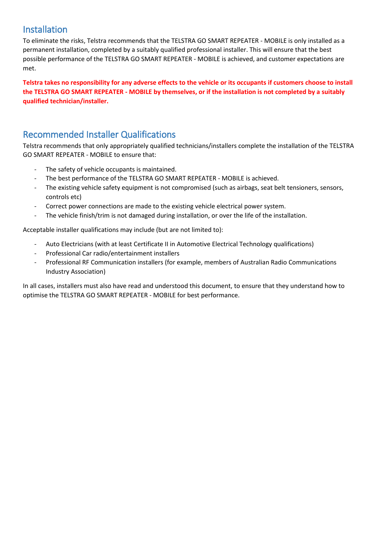## Installation

To eliminate the risks, Telstra recommends that the TELSTRA GO SMART REPEATER - MOBILE is only installed as a permanent installation, completed by a suitably qualified professional installer. This will ensure that the best possible performance of the TELSTRA GO SMART REPEATER - MOBILE is achieved, and customer expectations are met.

**Telstra takes no responsibility for any adverse effects to the vehicle or its occupants if customers choose to install the TELSTRA GO SMART REPEATER - MOBILE by themselves, or if the installation is not completed by a suitably qualified technician/installer.**

## Recommended Installer Qualifications

Telstra recommends that only appropriately qualified technicians/installers complete the installation of the TELSTRA GO SMART REPEATER - MOBILE to ensure that:

- The safety of vehicle occupants is maintained.
- The best performance of the TELSTRA GO SMART REPEATER MOBILE is achieved.
- The existing vehicle safety equipment is not compromised (such as airbags, seat belt tensioners, sensors, controls etc)
- Correct power connections are made to the existing vehicle electrical power system.
- The vehicle finish/trim is not damaged during installation, or over the life of the installation.

Acceptable installer qualifications may include (but are not limited to):

- Auto Electricians (with at least Certificate II in Automotive Electrical Technology qualifications)
- Professional Car radio/entertainment installers
- Professional RF Communication installers (for example, members of Australian Radio Communications Industry Association)

In all cases, installers must also have read and understood this document, to ensure that they understand how to optimise the TELSTRA GO SMART REPEATER - MOBILE for best performance.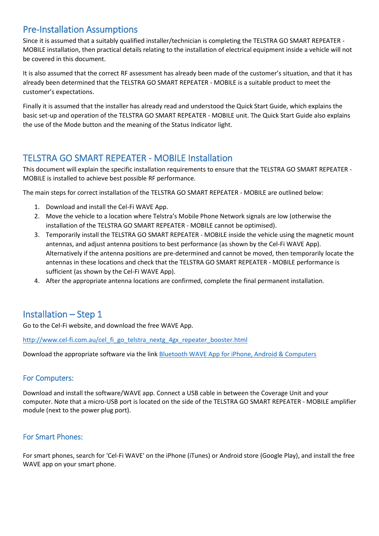## Pre-Installation Assumptions

Since it is assumed that a suitably qualified installer/technician is completing the TELSTRA GO SMART REPEATER - MOBILE installation, then practical details relating to the installation of electrical equipment inside a vehicle will not be covered in this document.

It is also assumed that the correct RF assessment has already been made of the customer's situation, and that it has already been determined that the TELSTRA GO SMART REPEATER - MOBILE is a suitable product to meet the customer's expectations.

Finally it is assumed that the installer has already read and understood the Quick Start Guide, which explains the basic set-up and operation of the TELSTRA GO SMART REPEATER - MOBILE unit. The Quick Start Guide also explains the use of the Mode button and the meaning of the Status Indicator light.

### TELSTRA GO SMART REPEATER - MOBILE Installation

This document will explain the specific installation requirements to ensure that the TELSTRA GO SMART REPEATER - MOBILE is installed to achieve best possible RF performance.

The main steps for correct installation of the TELSTRA GO SMART REPEATER - MOBILE are outlined below:

- 1. Download and install the Cel-Fi WAVE App.
- 2. Move the vehicle to a location where Telstra's Mobile Phone Network signals are low (otherwise the installation of the TELSTRA GO SMART REPEATER - MOBILE cannot be optimised).
- 3. Temporarily install the TELSTRA GO SMART REPEATER MOBILE inside the vehicle using the magnetic mount antennas, and adjust antenna positions to best performance (as shown by the Cel-Fi WAVE App). Alternatively if the antenna positions are pre-determined and cannot be moved, then temporarily locate the antennas in these locations and check that the TELSTRA GO SMART REPEATER - MOBILE performance is sufficient (as shown by the Cel-Fi WAVE App).
- 4. After the appropriate antenna locations are confirmed, complete the final permanent installation.

### Installation – Step 1

Go to the Cel-Fi website, and download the free WAVE App.

[http://www.cel-fi.com.au/cel\\_fi\\_go\\_telstra\\_nextg\\_4gx\\_repeater\\_booster.html](http://www.cel-fi.com.au/cel_fi_go_telstra_nextg_4gx_repeater_booster.html)

Download the appropriate software via the link [Bluetooth WAVE App for iPhone, Android & Computers](http://www.cel-fi.com.au/wave.html)

### For Computers:

Download and install the software/WAVE app. Connect a USB cable in between the Coverage Unit and your computer. Note that a micro-USB port is located on the side of the TELSTRA GO SMART REPEATER - MOBILE amplifier module (next to the power plug port).

### For Smart Phones:

For smart phones, search for 'Cel-Fi WAVE' on the iPhone (iTunes) or Android store (Google Play), and install the free WAVE app on your smart phone.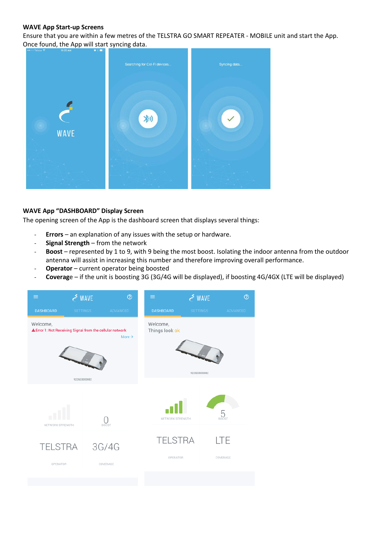### **WAVE App Start-up Screens**

Ensure that you are within a few metres of the TELSTRA GO SMART REPEATER - MOBILE unit and start the App. Once found, the App will start syncing data.



### **WAVE App "DASHBOARD" Display Screen**

The opening screen of the App is the dashboard screen that displays several things:

- **Errors** an explanation of any issues with the setup or hardware.
- **Signal Strength** from the network
- Boost represented by 1 to 9, with 9 being the most boost. Isolating the indoor antenna from the outdoor antenna will assist in increasing this number and therefore improving overall performance.
- **Operator** current operator being boosted
- **Coverag**e if the unit is boosting 3G (3G/4G will be displayed), if boosting 4G/4GX (LTE will be displayed)

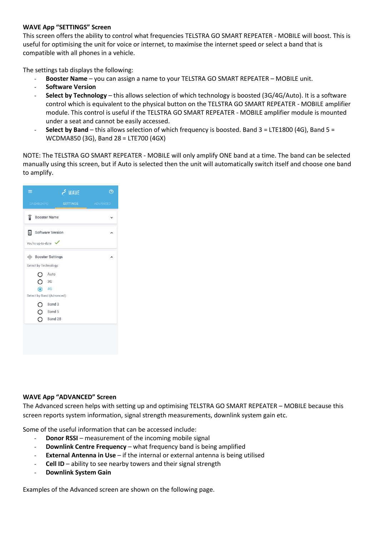### **WAVE App "SETTINGS" Screen**

This screen offers the ability to control what frequencies TELSTRA GO SMART REPEATER - MOBILE will boost. This is useful for optimising the unit for voice or internet, to maximise the internet speed or select a band that is compatible with all phones in a vehicle.

The settings tab displays the following:

- **Booster Name** you can assign a name to your TELSTRA GO SMART REPEATER MOBILE unit.
- **Software Version**
- Select by Technology this allows selection of which technology is boosted (3G/4G/Auto). It is a software control which is equivalent to the physical button on the TELSTRA GO SMART REPEATER - MOBILE amplifier module. This control is useful if the TELSTRA GO SMART REPEATER - MOBILE amplifier module is mounted under a seat and cannot be easily accessed.
- **Select by Band** this allows selection of which frequency is boosted. Band 3 = LTE1800 (4G), Band 5 = WCDMA850 (3G), Band 28 = LTE700 (4GX)

NOTE: The TELSTRA GO SMART REPEATER - MOBILE will only amplify ONE band at a time. The band can be selected manually using this screen, but if Auto is selected then the unit will automatically switch itself and choose one band to amplify.

| ≡                     | - WAVE                     | ෬               |
|-----------------------|----------------------------|-----------------|
| <b>DASHBOARD</b>      | <b>SETTINGS</b>            | <b>ADVANCED</b> |
| î                     | <b>Booster Name</b>        |                 |
| ⊡                     | <b>Software Version</b>    |                 |
| You're up-to-date     |                            |                 |
| 业                     | <b>Booster Settings</b>    |                 |
| Select by Technology: |                            |                 |
|                       | Auto                       |                 |
| Ω                     | 3G                         |                 |
| $\odot$               | 4G                         |                 |
|                       | Select by Band (Advanced): |                 |
| O                     | Band 3                     |                 |
| Ο                     | Band 5                     |                 |
| ∩                     | Band 28                    |                 |
|                       |                            |                 |
|                       |                            |                 |

### **WAVE App "ADVANCED" Screen**

The Advanced screen helps with setting up and optimising TELSTRA GO SMART REPEATER – MOBILE because this screen reports system information, signal strength measurements, downlink system gain etc.

Some of the useful information that can be accessed include:

- **Donor RSSI** measurement of the incoming mobile signal
- **Downlink Centre Frequency** what frequency band is being amplified
- **External Antenna in Use** if the internal or external antenna is being utilised
- Cell ID ability to see nearby towers and their signal strength
- **Downlink System Gain**

Examples of the Advanced screen are shown on the following page.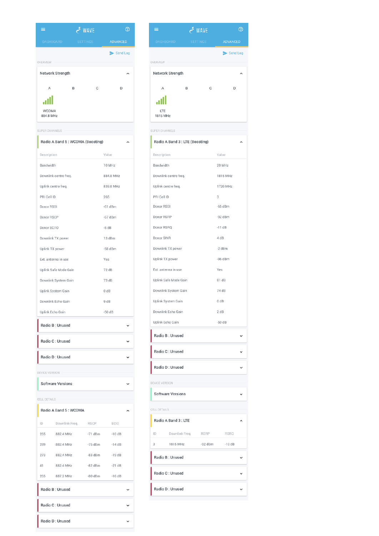

#### SUPER CHANNELS

| Radio A Band 5: WCDMA (Boosting) |           |  |
|----------------------------------|-----------|--|
| Description                      | Value     |  |
| Bandwidth                        | 10 MHz    |  |
| Downlink centre freq.            | 884.8 MHz |  |
| Uplink centre freq.              | 839.8 MHz |  |
| PRI Cell ID                      | 265       |  |
| Donor RSSI                       | $-61$ dBm |  |
| Donor RSCP                       | $-67$ dBm |  |
| Donor EC/IO                      | $-5 dB$   |  |
| Downlink TX power                | 13 dBm    |  |
| Uplink TX power                  | $-58$ dBm |  |
| Ext. antenna in use              | Yes       |  |
| Uplink Safe Mode Gain            | 72 dB     |  |
| Downlink System Gain             | 73 dB     |  |
| Uplink System Gain               | 0 dB      |  |
| Downlink Echo Gain               | 9 dB      |  |
| Uplink Echo Gain                 | $-50dB$   |  |
| Radio B: Unused                  |           |  |
| Radio C: Unused                  |           |  |
| Radio D: Unused                  |           |  |
| DEVICE VERSION                   |           |  |
| <b>Software Versions</b>         |           |  |
| CELL DETAILS                     |           |  |

|     | Radio A Band 5: WCDMA |             |          |  |
|-----|-----------------------|-------------|----------|--|
| ID  | Downlink Freq.        | <b>RSCP</b> | ECIO     |  |
| 265 | 882.4 MHz             | $-71$ dBm   | $-10dB$  |  |
| 289 | 882.4 MHz             | $-75$ dBm   | $-14dB$  |  |
| 273 | 882.4 MHz             | $-83$ dBm   | $-19dB$  |  |
| 41  | 882.4 MHz             | $-82$ dBm   | $-21 dB$ |  |
| 265 | 887.2 MHz             | $-80$ dBm   | $-16dB$  |  |
|     | Radio B: Unused       |             |          |  |
|     | Radio C: Unused       |             |          |  |
|     | Radio D: Unused       |             |          |  |

| ≡                               |   | WAVE بحم        |                 | ⊘ |
|---------------------------------|---|-----------------|-----------------|---|
| <b>DASHBOARD</b>                |   | <b>SETTINGS</b> | <b>ADVANCED</b> |   |
|                                 |   |                 | Send Log        |   |
| OVERVIEW                        |   |                 |                 |   |
| Network Strength                |   |                 |                 |   |
| А                               | B | C               | D               |   |
|                                 |   |                 |                 |   |
| LTE<br>1815 MHz                 |   |                 |                 |   |
| <b>SUPER CHANNELS</b>           |   |                 |                 |   |
| Radio A Band 3 : LTE (Boosting) |   |                 |                 |   |
| Description                     |   |                 | Value           |   |
| Bandwidth                       |   |                 | 20 MHz          |   |
| Downlink centre freq.           |   |                 | 1815 MHz        |   |
| Uplink centre freq.             |   |                 | 1720 MHz        |   |

| Uplink centre freq.      |             | <b>I</b> / ZU MHZ |  |
|--------------------------|-------------|-------------------|--|
| PRI Cell ID              |             | 3                 |  |
| Donor RSSI               |             | $-65$ dBm         |  |
| Donor RSRP               |             | $-92$ dBm         |  |
| Donor RSRQ               |             | $-11dB$           |  |
| Donor SINR               |             | 4 dB              |  |
| Downlink TX power        |             | -2 dBm            |  |
| Uplink TX power          |             | $-96$ dBm         |  |
| Ext. antenna in use      |             | Yes               |  |
| Uplink Safe Mode Gain    |             | 81 dB             |  |
| Downlink System Gain     |             | 74 dB             |  |
| Uplink System Gain       |             | 0 dB              |  |
| Downlink Echo Gain       |             | 2 dB              |  |
| Uplink Echo Gain         |             | $-50dB$           |  |
|                          |             |                   |  |
| Radio B: Unused          |             |                   |  |
| Radio C: Unused          |             |                   |  |
| Radio D: Unused          |             |                   |  |
| DEVICE VERSION           |             |                   |  |
| <b>Software Versions</b> |             |                   |  |
| CELL DETAILS             |             |                   |  |
|                          |             |                   |  |
| Radio A Band 3: LTE      |             |                   |  |
| ID<br>Downlink Freq.     | <b>RSRP</b> | <b>RSRQ</b>       |  |
| 3<br>1815 MHz            | $-92$ dBm   | $-10dB$           |  |

Radio C: Unused

Radio D : Unused

 $\checkmark$ 

 $\ddot{\phantom{0}}$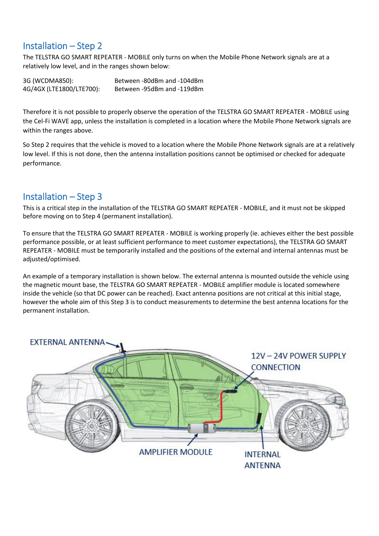## Installation – Step 2

The TELSTRA GO SMART REPEATER - MOBILE only turns on when the Mobile Phone Network signals are at a relatively low level, and in the ranges shown below:

3G (WCDMA850): Between -80dBm and -104dBm 4G/4GX (LTE1800/LTE700): Between -95dBm and -119dBm

Therefore it is not possible to properly observe the operation of the TELSTRA GO SMART REPEATER - MOBILE using the Cel-Fi WAVE app, unless the installation is completed in a location where the Mobile Phone Network signals are within the ranges above.

So Step 2 requires that the vehicle is moved to a location where the Mobile Phone Network signals are at a relatively low level. If this is not done, then the antenna installation positions cannot be optimised or checked for adequate performance.

## Installation – Step 3

This is a critical step in the installation of the TELSTRA GO SMART REPEATER - MOBILE, and it must not be skipped before moving on to Step 4 (permanent installation).

To ensure that the TELSTRA GO SMART REPEATER - MOBILE is working properly (ie. achieves either the best possible performance possible, or at least sufficient performance to meet customer expectations), the TELSTRA GO SMART REPEATER - MOBILE must be temporarily installed and the positions of the external and internal antennas must be adjusted/optimised.

An example of a temporary installation is shown below. The external antenna is mounted outside the vehicle using the magnetic mount base, the TELSTRA GO SMART REPEATER - MOBILE amplifier module is located somewhere inside the vehicle (so that DC power can be reached). Exact antenna positions are not critical at this initial stage, however the whole aim of this Step 3 is to conduct measurements to determine the best antenna locations for the permanent installation.

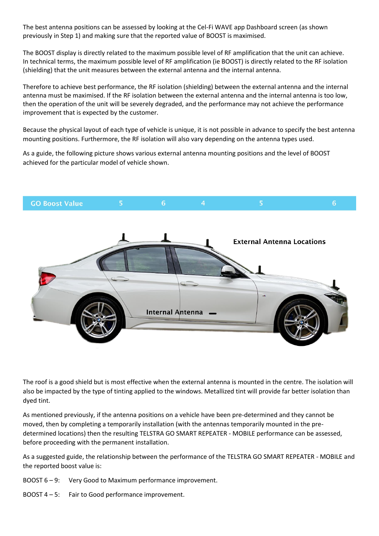The best antenna positions can be assessed by looking at the Cel-Fi WAVE app Dashboard screen (as shown previously in Step 1) and making sure that the reported value of BOOST is maximised.

The BOOST display is directly related to the maximum possible level of RF amplification that the unit can achieve. In technical terms, the maximum possible level of RF amplification (ie BOOST) is directly related to the RF isolation (shielding) that the unit measures between the external antenna and the internal antenna.

Therefore to achieve best performance, the RF isolation (shielding) between the external antenna and the internal antenna must be maximised. If the RF isolation between the external antenna and the internal antenna is too low, then the operation of the unit will be severely degraded, and the performance may not achieve the performance improvement that is expected by the customer.

Because the physical layout of each type of vehicle is unique, it is not possible in advance to specify the best antenna mounting positions. Furthermore, the RF isolation will also vary depending on the antenna types used.

As a guide, the following picture shows various external antenna mounting positions and the level of BOOST achieved for the particular model of vehicle shown.



The roof is a good shield but is most effective when the external antenna is mounted in the centre. The isolation will also be impacted by the type of tinting applied to the windows. Metallized tint will provide far better isolation than dyed tint.

As mentioned previously, if the antenna positions on a vehicle have been pre-determined and they cannot be moved, then by completing a temporarily installation (with the antennas temporarily mounted in the predetermined locations) then the resulting TELSTRA GO SMART REPEATER - MOBILE performance can be assessed, before proceeding with the permanent installation.

As a suggested guide, the relationship between the performance of the TELSTRA GO SMART REPEATER - MOBILE and the reported boost value is:

BOOST 6 – 9: Very Good to Maximum performance improvement.

BOOST 4 – 5: Fair to Good performance improvement.